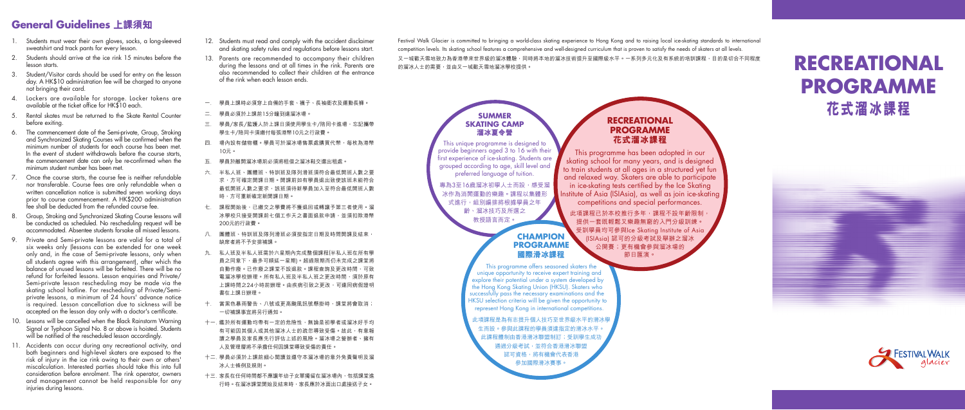# **RECREATIONAL PROGRAMME 花式溜冰課程**

- 1. Students must wear their own gloves, socks, a long-sleeved sweatshirt and track pants for every lesson.
- 2. Students should arrive at the ice rink 15 minutes before the lesson starts.
- 3. Student/Visitor cards should be used for entry on the lesson day. A HK\$10 administration fee will be charged to anyone not bringing their card.
- 4. Lockers are available for storage. Locker tokens are available at the ticket office for HK\$10 each.
- 5. Rental skates must be returned to the Skate Rental Counter before exiting.
- 6. The commencement date of the Semi-private, Group, Stroking and Synchronized Skating Courses will be confirmed when the minimum number of students for each course has been met. In the event of student withdrawals before the course starts, the commencement date can only be re-confirmed when the minimum student number has been met.
- 7. Once the course starts, the course fee is neither refundable nor transferable. Course fees are only refundable when a written cancellation notice is submitted seven working days prior to course commencement. A HK\$200 administration fee shall be deducted from the refunded course fee.
- 8. Group, Stroking and Synchronized Skating Course lessons will be conducted as scheduled. No rescheduling request will be accommodated. Absentee students forsake all missed lessons.
- 9. Private and Semi-private lessons are valid for a total of six weeks only (lessons can be extended for one week only and, in the case of Semi-private lessons, only when all students agree with this arrangement), after which the balance of unused lessons will be forfeited. There will be no refund for forfeited lessons. Lesson enquiries and Private/ Semi-private lesson rescheduling may be made via the skating school hotline. For rescheduling of Private/Semiprivate lessons, a minimum of 24 hours' advance notice is required. Lesson cancellation due to sickness will be accepted on the lesson day only with a doctor's certificate.
- 10. Lessons will be cancelled when the Black Rainstorm Warning Signal or Typhoon Signal No. 8 or above is hoisted. Students will be notified of the rescheduled lesson accordinaly.
- 11. Accidents can occur during any recreational activity, and both beginners and high-level skaters are exposed to the risk of injury in the ice rink owing to their own or others' miscalculation. Interested parties should take this into full consideration before enrolment. The rink operator, owners and management cannot be held responsible for any injuries during lessons.

Festival Walk Glacier is committed to bringing a world-class skating experience to Hong Kong and to raising local ice-skating standards to international competition levels. Its skating school features a comprehensive and well-designed curriculum that is proven to satisfy the needs of skaters at all levels. 又一城歡天雪地致力為香港帶來世界級的溜冰體驗,同時將本地的溜冰技術提升至國際級水平。一系列多元化及有系統的培訓課程,目的是切合不同程度 的溜冰人士的需要,並由又一城歡天雪地溜冰學校提供。

### **General Guidelines 上課須知**

此項課程已於本校推行多年,課程不設年齡限制 提供一套既輕鬆又樂趣無窮的入門分級訓練。 受訓學員均可參與Ice Skating Institute of Asia (ISIAsia) 認可的分級考試及舉辦之溜冰 公開賽;更有機會參與溜冰場的 節日匯演。





- 12. Students must read and comply with the accident disclaimer and skating safety rules and regulations before lessons start.
- 13. Parents are recommended to accompany their children during the lessons and at all times in the rink. Parents are also recommended to collect their children at the entrance of the rink when each lesson ends.
- 一. 學員上課時必須穿上自備的手套、襪子、長袖衛衣及運動長褲。
- 二. 學員必須於上課前15分鐘到達溜冰場。
- 三. 學員/家長/監護人於上課日須使用學生卡/陪同卡進場,忘記攜帶 學生卡/陪同卡須繳付每張港幣10元之行政費。
- 四. 場內設有儲物櫃。學員可於溜冰場售票處購買代幣,每枚為港幣 10元。
- 五. 學員於離開溜冰場前必須將租借之溜冰鞋交還出租處。
- 六. 半私人班、團體班、特訓班及隊列滑班須符合最低開班人數之要 求,方可確定開課日期。開課前如有學員退出致使該班未能符合 最低開班人數之要求,該班須待新學員加入至符合最低開班人數 時,方可重新確定新開課日期。
- 七. 課程開始後,已繳交之學費將不獲退回或轉讓予第三者使用。溜 冰學校只接受開課前七個工作天之書面退款申請,並須扣除港幣 200元的行政費。
- 八. 團體班、特訓班及隊列滑班必須按指定日期及時間開課及結束; 缺席者將不予安排補課。
- 九. 私人班及半私人班需於六星期內完成整個課程(半私人班在所有學 員之同意下,最多可順延一星期)。超過限期而仍未完成之課堂將 自動作廢。已作廢之課堂不設退款。課程查詢及更改時間,可致 電溜冰學校辦理。所有私人班及半私人班之更改時間,須於原有 上課時間之24小時前辦理。由疾病引致之更改,可連同病假證明 書在上課日辦理。
- 十. 當黑色暴雨警告、八號或更高颱風訊號懸掛時,課堂將會取消; 一切補課事宜將另行通知。
- 十一. 鑑於所有運動均帶有一定的危險性,無論是初學者或溜冰好手均 有可能因其個人或其他溜冰人士的疏忽導致受傷。故此,有意報 讀之學員及家長應先行評估上述的風險。溜冰場之營辦者、擁有 人及管理層將不承擔任何因課堂導致受傷的責任。
- 十二. 學員必須於上課前細心閱讀並遵守本溜冰場的意外免責聲明及溜 冰人士條例及規則。
- 十三. 家長在任何時間都不應讓年幼子女單獨留在溜冰場內,包括課堂進 行時。在溜冰課堂開始及結束時,家長應於冰面出口處接送子女。

#### **CHAMPION PROGRAMME 國際滑冰課程** This programme offers seasoned skaters the unique opportunity to receive expert training and explore their potential under a system developed by the Hong Kong Skating Union (HKSU). Skaters who successfully pass the necessary examinations and the HKSU selection criteria will be given the opportunity to represent Hong Kong in international competitions. 此項課程是為有志提升個人技巧至世界級水平的滑冰學 生而設。參與此課程的學員須達指定的滑冰水平。 此課程體制由香港滑冰聯盟制訂;受訓學生成功 通過分級考試,並符合香港滑冰聯盟 認可資格,將有機會代表香港 參加國際滑冰賽事。 **SUMMER SKATING CAMP 溜冰夏令營** This unique programme is designed to provide beginners aged 3 to 16 with their first experience of ice-skating. Students are grouped according to age, skill level and preferred language of tuition. 專為3至16歲溜冰初學人士而設,感受溜 冰作為消閒運動的樂趣。課程以集體形 式進行,組別編排將根據學員之年 齡、溜冰技巧及所選之 教授語言而定。

### **RECREATIONAL PROGRAMME 花式溜冰課程**

This programme has been adopted in our skating school for many years, and is designed to train students at all ages in a structured yet fun and relaxed way. Skaters are able to participate in ice-skating tests certified by the Ice Skating nstitute of Asia (ISIAsia), as well as join ice-skating competitions and special performances.